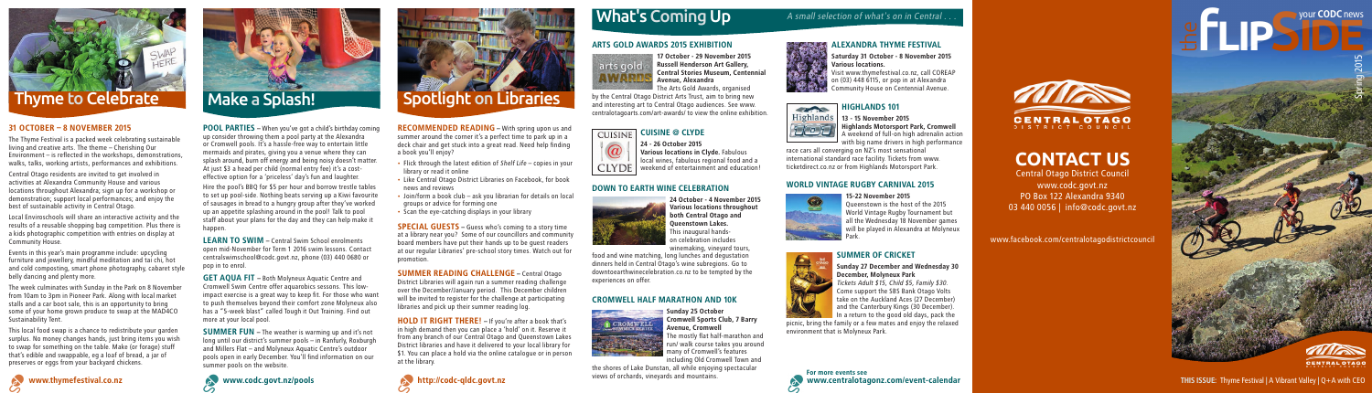

## **CONTACT US**

Central Otago District Council www.codc.govt.nz PO Box 122 Alexandra 9340 03 440 0056 | info@codc.govt.nz

www.facebook.com/centralotagodistrictcouncil



### 31 OCTOBER – 8 NOVEMBER 2015

The Thyme Festival is a packed week celebrating sustainable living and creative arts. The theme – Cherishing Our Environment – is reflected in the workshops, demonstrations, walks, talks, working artists, performances and exhibitions.

Central Otago residents are invited to get involved in activities at Alexandra Community House and various locations throughout Alexandra; sign up for a workshop or demonstration; support local performances; and enjoy the best of sustainable activity in Central Otago.

Local Enviroschools will share an interactive activity and the results of a reusable shopping bag competition. Plus there is a kids photographic competition with entries on display at Community House.

Events in this year's main programme include: upcycling furniture and jewellery, mindful meditation and tai chi, hot and cold composting, smart phone photography, cabaret style belly dancing and plenty more.

**LEARN TO SWIM - Central Swim School enrolments** open mid-November for Term 1 2016 swim lessons. Contact centralswimschool@codc.govt.nz, phone (03) 440 0680 or pop in to enrol.

The week culminates with Sunday in the Park on 8 November from 10am to 3pm in Pioneer Park. Along with local market stalls and a car boot sale, this is an opportunity to bring some of your home grown produce to swap at the MAD4CO Sustainability Tent.

This local food swap is a chance to redistribute your garden surplus. No money changes hands, just bring items you wish to swap for something on the table. Make (or forage) stuff that's edible and swappable, eg a loaf of bread, a jar of preserves or eggs from your backyard chickens.

RECOMMENDED READING - With spring upon us and summer around the corner it's a perfect time to park up in a deck chair and get stuck into a great read. Need help finding a book you'll enjoy?

POOL PARTIES – When you've got a child's birthday coming up consider throwing them a pool party at the Alexandra or Cromwell pools. It's a hassle-free way to entertain little mermaids and pirates, giving you a venue where they can splash around, burn off energy and being noisy doesn't matter. At just \$3 a head per child (normal entry fee) it's a costeffective option for a 'priceless' day's fun and laughter.

> **HOLD IT RIGHT THERE!** – If you're after a book that's in high demand then you can place a 'hold' on it. Reserve it from any branch of our Central Otago and Queenstown Lakes District libraries and have it delivered to your local library for \$1. You can place a hold via the online catalogue or in person at the library.

Hire the pool's BBQ for \$5 per hour and borrow trestle tables to set up pool-side. Nothing beats serving up a Kiwi favourite of sausages in bread to a hungry group after they've worked up an appetite splashing around in the pool! Talk to pool staff about your plans for the day and they can help make it happen.

### CUISINE @ CLYDE **CUISINE**



GET AQUA FIT – Both Molyneux Aquatic Centre and Cromwell Swim Centre offer aquarobics sessons. This lowimpact exercise is a great way to keep fit. For those who want to push themselves beyond their comfort zone Molyneux also has a "5-week blast" called Tough it Out Training. Find out more at your local pool.

### HIGHLANDS 101 **COMPANY**



13 - 15 November 2015 **Highlands Motorsport Park, Cromwell** A weekend of full-on high adrenalin action with big name drivers in high performance

SUMMER FUN – The weather is warming up and it's not long until our district's summer pools – in Ranfurly, Roxburgh and Millers Flat – and Molyneux Aquatic Centre's outdoor pools open in early December. You'll find information on our summer pools on the website.



Tickets Adult \$15, Child \$5, Family \$30. Come support the SBS Bank Otago Volts take on the Auckland Aces (27 December) and the Canterbury Kings (30 December).  $\blacksquare$  In a return to the good old days, pack the

- Flick through the latest edition of Shelf Life copies in your library or read it online
- Like Central Otago District Libraries on Facebook, for book news and reviews
- Join/form a book club ask you librarian for details on local groups or advice for forming one
- Scan the eye-catching displays in your library

 www.centralotagonz.com/event-calendar For more events see



SPECIAL GUESTS – Guess who's coming to a story time at a library near you? Some of our councillors and community board members have put their hands up to be guest readers at our regular Libraries' pre-school story times. Watch out for promotion.

SUMMER READING CHALLENGE – Central Otago District Libraries will again run a summer reading challenge over the December/January period. This December children will be invited to register for the challenge at participating libraries and pick up their summer reading log.



## $\mathsf{What}'$ s Coming Up A small selection of what's on in Central...

### ARTS GOLD AWARDS 2015 EXHIBITION



17 October - 29 November 2015 Russell Henderson Art Gallery, Central Stories Museum, Centennial

Avenue, Alexandra

The Arts Gold Awards, organised by the Central Otago District Arts Trust, aim to bring new and interesting art to Central Otago audiences. See www. centralotagoarts.com/art-awards/ to view the online exhibition.

> 24 - 26 October 2015 Various locations in Clyde. Fabulous local wines, fabulous regional food and a weekend of entertainment and education!

### DOWN TO EARTH WINE CELEBRATION

24 October - 4 November 2015 Various locations throughout both Central Otago and Queenstown Lakes. This inaugural handson celebration includes winemaking, vineyard tours,

food and wine matching, long lunches and degustation dinners held in Central Otago's wine subregions. Go to downtoearthwinecelebration.co.nz to be tempted by the experiences on offer.

### CROMWELL HALF MARATHON AND 10K



### Sunday 25 October Cromwell Sports Club, 7 Barry Avenue, Cromwell



The mostly flat half-marathon and run/ walk course takes you around many of Cromwell's features including Old Cromwell Town and the shores of Lake Dunstan, all while enjoying spectacular views of orchards, vineyards and mountains.

### ALEXANDRA THYME FESTIVAL

Saturday 31 October - 8 November 2015 Various locations. Visit www.thymefestival.co.nz, call COREAP

on (03) 448 6115, or pop in at Alexandra Community House on Centennial Avenue.

race cars all converging on NZ's most sensational international standard race facility. Tickets from www. ticketdirect.co.nz or from Highlands Motorsport Park.

### WORLD VINTAGE RUGBY CARNIVAL 2015

### 15-22 November 2015 Queenstown is the host of the 2015 World Vintage Rugby Tournament but all the Wednesday 18 November games will be played in Alexandra at Molyneux

Park.





picnic, bring the family or a few mates and enjoy the relaxed environment that is Molyneux Park.